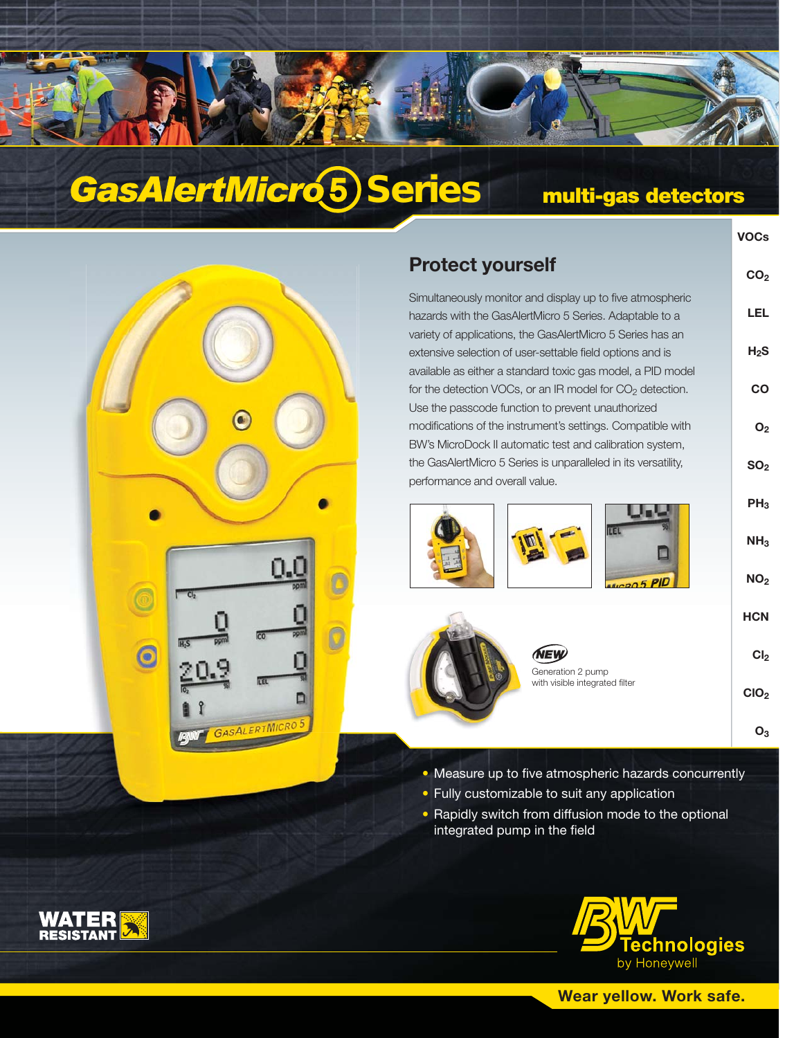# **GasAlertMicro<sup>5</sup>**)Series

# **multi-gas detectors**



# **Protect yourself**

Simultaneously monitor and display up to five atmospheric hazards with the GasAlertMicro 5 Series. Adaptable to a variety of applications, the GasAlertMicro 5 Series has an extensive selection of user-settable field options and is available as either a standard toxic gas model, a PID model for the detection VOCs, or an IR model for CO<sub>2</sub> detection. Use the passcode function to prevent unauthorized modifications of the instrument's settings. Compatible with BW's MicroDock II automatic test and calibration system, the GasAlertMicro 5 Series is unparalleled in its versatility, performance and overall value.





| FL         |  |
|------------|--|
|            |  |
| Augo 5 PIL |  |

| $PH_3$          |
|-----------------|
| NH <sub>3</sub> |
| NO <sub>2</sub> |
| <b>HCN</b>      |
| Cl <sub>2</sub> |
| <b>CIO</b> 2    |

**O3**

**VOCs**

**CO2**

**LEL**

**H2S**

**CO**

**O2**

**SO2**

Generation 2 pump with visible integrated filter

**NEW** 

- Measure up to five atmospheric hazards concurrently **• Fully customizable to suit any application**
- Rapidly switch from diffusion mode to the optional integrated pump in the field



# **Wear yellow. Work safe.**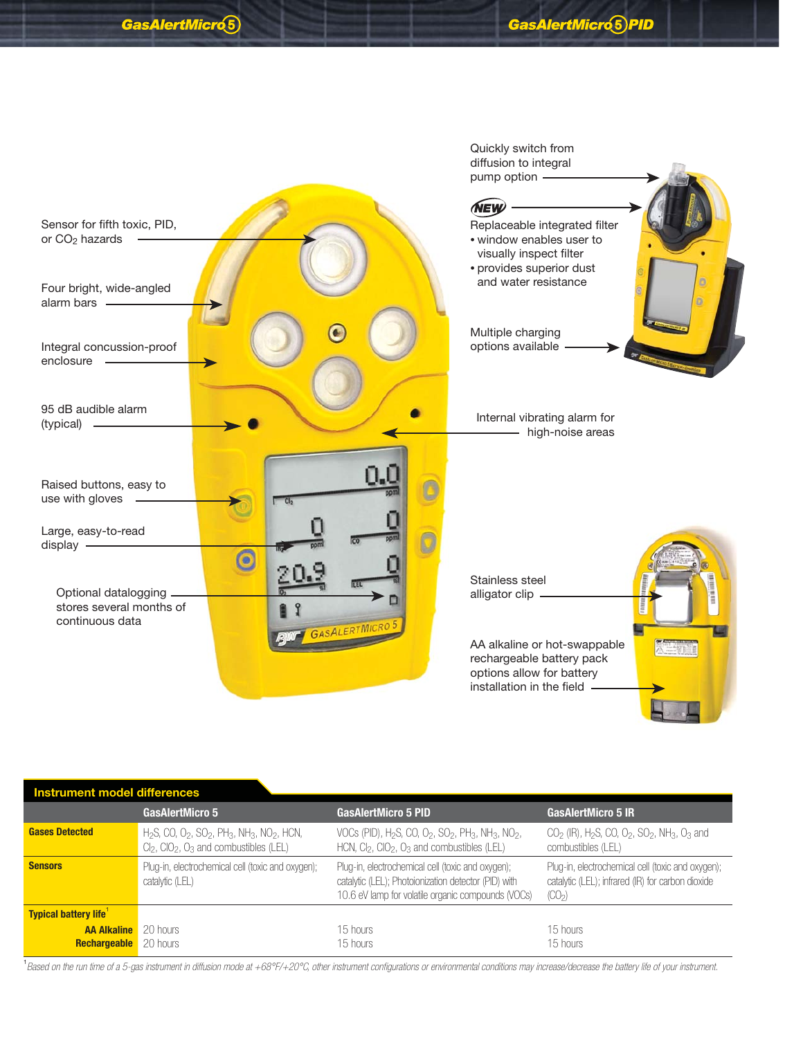

| <b>Instrument model differences</b>                         |                                                                                                                                                               |                                                                                                                                                                                    |                                                                                                                                 |
|-------------------------------------------------------------|---------------------------------------------------------------------------------------------------------------------------------------------------------------|------------------------------------------------------------------------------------------------------------------------------------------------------------------------------------|---------------------------------------------------------------------------------------------------------------------------------|
|                                                             | <b>GasAlertMicro 5</b>                                                                                                                                        | <b>GasAlertMicro 5 PID</b>                                                                                                                                                         | <b>GasAlertMicro 5 IR</b>                                                                                                       |
| <b>Gases Detected</b>                                       | $H_2S$ , CO, O <sub>2</sub> , SO <sub>2</sub> , PH <sub>3</sub> , NH <sub>3</sub> , NO <sub>2</sub> , HCN,<br>$Cl_2$ , $ClO_2$ , $O_3$ and combustibles (LEL) | VOCs (PID), H <sub>2</sub> S, CO, O <sub>2</sub> , SO <sub>2</sub> , PH <sub>3</sub> , NH <sub>3</sub> , NO <sub>2</sub> ,<br>HCN, $Cl_2$ , $ClO_2$ , $O_3$ and combustibles (LEL) | $CO2$ (IR), H <sub>2</sub> S, CO, O <sub>2</sub> , SO <sub>2</sub> , NH <sub>3</sub> , O <sub>3</sub> and<br>combustibles (LEL) |
| <b>Sensors</b>                                              | Plug-in, electrochemical cell (toxic and oxygen);<br>catalytic (LEL)                                                                                          | Plug-in, electrochemical cell (toxic and oxygen);<br>catalytic (LEL); Photoionization detector (PID) with<br>10.6 eV lamp for volatile organic compounds (VOCs)                    | Plug-in, electrochemical cell (toxic and oxygen);<br>catalytic (LEL); infrared (IR) for carbon dioxide<br>(CO <sub>2</sub> )    |
| <b>Typical battery life</b>                                 |                                                                                                                                                               |                                                                                                                                                                                    |                                                                                                                                 |
| <b>AA Alkaline</b> 20 hours<br><b>Rechargeable</b> 20 hours |                                                                                                                                                               | 15 hours<br>15 hours                                                                                                                                                               | 15 hours<br>15 hours                                                                                                            |

<sup>1</sup> Based on the run time of a 5-gas instrument in diffusion mode at +68°F/+20°C, other instrument configurations or environmental conditions may increase/decrease the battery life of your instrument.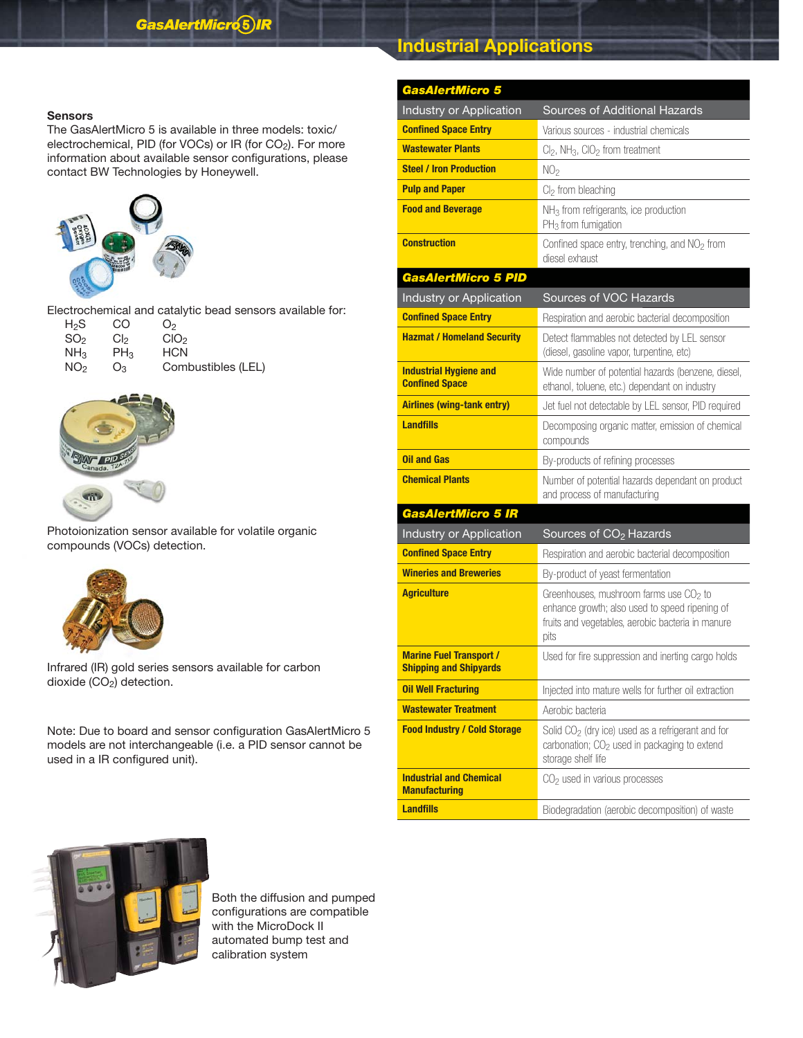# **Industrial Applications**

| c<br>v<br>۰.<br>r.<br>ı<br>ı. |  |
|-------------------------------|--|
|-------------------------------|--|

The GasAlertMicro 5 is available in three models: toxic/ electrochemical, PID (for VOCs) or IR (for CO<sub>2</sub>). For more information about available sensor configurations, please contact BW Technologies by Honeywell.



Electrochemical and catalytic bead sensors available for:

| $H_2S$                 | CO              | O <sub>2</sub>     |
|------------------------|-----------------|--------------------|
| SO <sub>2</sub>        | Cl <sub>2</sub> | CIO <sub>2</sub>   |
| <b>NH</b> <sub>3</sub> | PH <sub>3</sub> | <b>HCN</b>         |
| NO2                    | Oз              | Combustibles (LEL) |



Photoionization sensor available for volatile organic compounds (VOCs) detection.



Infrared (IR) gold series sensors available for carbon dioxide (CO<sub>2</sub>) detection.

Note: Due to board and sensor configuration GasAlertMicro 5 models are not interchangeable (i.e. a PID sensor cannot be used in a IR configured unit).

| <b>GasAlertMicro 5</b>                                          |                                                                                                                                                                   |
|-----------------------------------------------------------------|-------------------------------------------------------------------------------------------------------------------------------------------------------------------|
| Industry or Application                                         | Sources of Additional Hazards                                                                                                                                     |
| <b>Confined Space Entry</b>                                     | Various sources - industrial chemicals                                                                                                                            |
| <b>Wastewater Plants</b>                                        | $Cl2$ , NH <sub>3</sub> , CIO <sub>2</sub> from treatment                                                                                                         |
| <b>Steel / Iron Production</b>                                  | NO <sub>2</sub>                                                                                                                                                   |
| <b>Pulp and Paper</b>                                           | $Cl2$ from bleaching                                                                                                                                              |
| <b>Food and Beverage</b>                                        | NH <sub>3</sub> from refrigerants, ice production<br>PH <sub>3</sub> from fumigation                                                                              |
| <b>Construction</b>                                             | Confined space entry, trenching, and NO <sub>2</sub> from<br>diesel exhaust                                                                                       |
| <b>GasAlertMicro 5 PID</b>                                      |                                                                                                                                                                   |
| Industry or Application                                         | Sources of VOC Hazards                                                                                                                                            |
| <b>Confined Space Entry</b>                                     | Respiration and aerobic bacterial decomposition                                                                                                                   |
| <b>Hazmat / Homeland Security</b>                               | Detect flammables not detected by LEL sensor<br>(diesel, gasoline vapor, turpentine, etc)                                                                         |
| <b>Industrial Hygiene and</b><br><b>Confined Space</b>          | Wide number of potential hazards (benzene, diesel,<br>ethanol, toluene, etc.) dependant on industry                                                               |
| <b>Airlines (wing-tank entry)</b>                               | Jet fuel not detectable by LEL sensor, PID required                                                                                                               |
| <b>Landfills</b>                                                | Decomposing organic matter, emission of chemical<br>compounds                                                                                                     |
| <b>Oil and Gas</b>                                              | By-products of refining processes                                                                                                                                 |
| <b>Chemical Plants</b>                                          | Number of potential hazards dependant on product<br>and process of manufacturing                                                                                  |
| <b>GasAlertMicro 5 IR</b>                                       |                                                                                                                                                                   |
| Industry or Application                                         | Sources of CO <sub>2</sub> Hazards                                                                                                                                |
| <b>Confined Space Entry</b>                                     | Respiration and aerobic bacterial decomposition                                                                                                                   |
| <b>Wineries and Breweries</b>                                   | By-product of yeast fermentation                                                                                                                                  |
| <b>Agriculture</b>                                              | Greenhouses, mushroom farms use CO <sub>2</sub> to<br>enhance growth; also used to speed ripening of<br>fruits and vegetables, aerobic bacteria in manure<br>pits |
| <b>Marine Fuel Transport /</b><br><b>Shipping and Shipyards</b> | Used for fire suppression and inerting cargo holds                                                                                                                |
| <b>Oil Well Fracturing</b>                                      | Injected into mature wells for further oil extraction                                                                                                             |
| <b>Wastewater Treatment</b>                                     | Aerobic bacteria                                                                                                                                                  |
| <b>Food Industry / Cold Storage</b>                             | Solid CO <sub>2</sub> (dry ice) used as a refrigerant and for<br>carbonation; CO <sub>2</sub> used in packaging to extend<br>storage shelf life                   |
| <b>Industrial and Chemical</b><br><b>Manufacturing</b>          | $CO2$ used in various processes                                                                                                                                   |

**Landfills Example 2018** Biodegradation (aerobic decomposition) of waste



Both the diffusion and pumped configurations are compatible with the MicroDock II automated bump test and calibration system